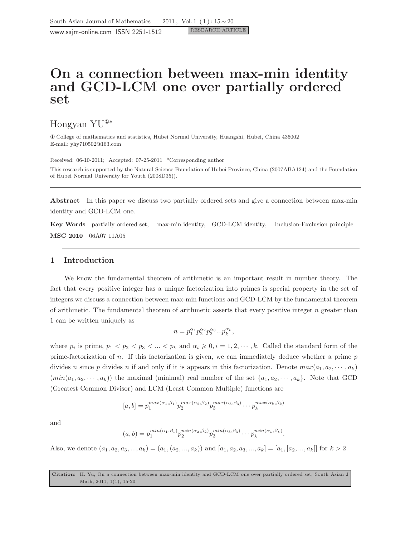www.sajm-online.com ISSN 2251-1512

# On a connection between max-min identity and GCD-LCM one over partially ordered set

Hongyan YU<sup>①</sup><sup>∗</sup>

① College of mathematics and statistics, Hubei Normal University, Huangshi, Hubei, China 435002 E-mail: yhy710502@163.com

Received: 06-10-2011; Accepted: 07-25-2011 \*Corresponding author This research is supported by the Natural Science Foundation of Hubei Province, China (2007ABA124) and the Foundation of Hubei Normal University for Youth (2008D35)).

Abstract In this paper we discuss two partially ordered sets and give a connection between max-min identity and GCD-LCM one.

Key Words partially ordered set, max-min identity, GCD-LCM identity, Inclusion-Exclusion principle MSC 2010 06A07 11A05

## 1 Introduction

We know the fundamental theorem of arithmetic is an important result in number theory. The fact that every positive integer has a unique factorization into primes is special property in the set of integers.we discuss a connection between max-min functions and GCD-LCM by the fundamental theorem of arithmetic. The fundamental theorem of arithmetic asserts that every positive integer  $n$  greater than 1 can be written uniquely as

$$
n=p_{1}^{\alpha_1}p_{2}^{\alpha_2}p_{3}^{\alpha_3}...p_{k}^{\alpha_k},
$$

where  $p_i$  is prime,  $p_1 < p_2 < p_3 < ... < p_k$  and  $\alpha_i \geqslant 0, i = 1, 2, \dots, k$ . Called the standard form of the prime-factorization of  $n$ . If this factorization is given, we can immediately deduce whether a prime  $p$ divides n since p divides n if and only if it is appears in this factorization. Denote  $max(a_1, a_2, \dots, a_k)$  $(min(a_1, a_2, \dots, a_k))$  the maximal (minimal) real number of the set  $\{a_1, a_2, \dots, a_k\}$ . Note that GCD (Greatest Common Divisor) and LCM (Least Common Multiple) functions are

$$
[a,b] = p_1^{max(\alpha_1,\beta_1)} p_2^{max(\alpha_2,\beta_2)} p_3^{max(\alpha_3,\beta_3)} \cdots p_k^{max(\alpha_k,\beta_k)}
$$

and

$$
(a,b) = p_1^{\min(\alpha_1,\beta_1)} p_2^{\min(\alpha_2,\beta_2)} p_3^{\min(\alpha_3,\beta_3)} \cdots p_k^{\min(\alpha_k,\beta_k)}.
$$

Also, we denote  $(a_1, a_2, a_3, ..., a_k) = (a_1, (a_2, ..., a_k))$  and  $[a_1, a_2, a_3, ..., a_k] = [a_1, [a_2, ..., a_k]]$  for  $k > 2$ .

Citation: H. Yu, On a connection between max-min identity and GCD-LCM one over partially ordered set, South Asian J Math, 2011, 1(1), 15-20.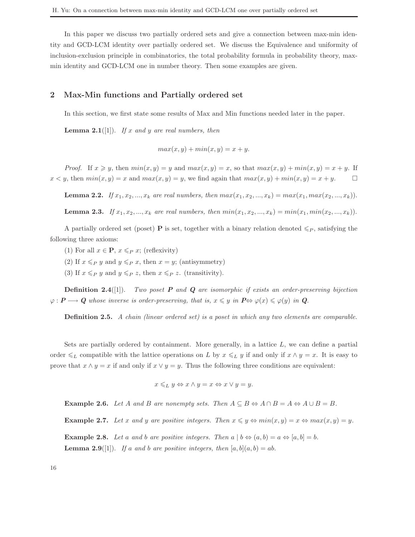In this paper we discuss two partially ordered sets and give a connection between max-min identity and GCD-LCM identity over partially ordered set. We discuss the Equivalence and uniformity of inclusion-exclusion principle in combinatorics, the total probability formula in probability theory, maxmin identity and GCD-LCM one in number theory. Then some examples are given.

#### 2 Max-Min functions and Partially ordered set

In this section, we first state some results of Max and Min functions needed later in the paper.

**Lemma 2.1**([1]). If x and y are real numbers, then

$$
max(x, y) + min(x, y) = x + y.
$$

*Proof.* If  $x \geq y$ , then  $min(x, y) = y$  and  $max(x, y) = x$ , so that  $max(x, y) + min(x, y) = x + y$ . If  $x < y$ , then  $min(x, y) = x$  and  $max(x, y) = y$ , we find again that  $max(x, y) + min(x, y) = x + y$ .

**Lemma 2.2.** If  $x_1, x_2, ..., x_k$  are real numbers, then  $max(x_1, x_2, ..., x_k) = max(x_1, max(x_2, ..., x_k))$ .

**Lemma 2.3.** If  $x_1, x_2, ..., x_k$  are real numbers, then  $min(x_1, x_2, ..., x_k) = min(x_1, min(x_2, ..., x_k))$ .

A partially ordered set (poset) **P** is set, together with a binary relation denoted  $\leq_P$ , satisfying the following three axioms:

- (1) For all  $x \in \mathbf{P}$ ,  $x \leq P$  x; (reflexivity)
- (2) If  $x \leqslant_P y$  and  $y \leqslant_P x$ , then  $x = y$ ; (antisymmetry)
- (3) If  $x \leqslant_P y$  and  $y \leqslant_P z$ , then  $x \leqslant_P z$ . (transitivity).

**Definition 2.4**([1]). Two poset **P** and **Q** are isomorphic if exists an order-preserving bijection  $\varphi: \mathbf{P} \longrightarrow \mathbf{Q}$  whose inverse is order-preserving, that is,  $x \leq y$  in  $\mathbf{P} \Leftrightarrow \varphi(x) \leq \varphi(y)$  in  $\mathbf{Q}$ .

**Definition 2.5.** A chain (linear ordered set) is a poset in which any two elements are comparable.

Sets are partially ordered by containment. More generally, in a lattice  $L$ , we can define a partial order  $\leq_L$  compatible with the lattice operations on L by  $x \leq_L y$  if and only if  $x \wedge y = x$ . It is easy to prove that  $x \wedge y = x$  if and only if  $x \vee y = y$ . Thus the following three conditions are equivalent:

$$
x \leq_L y \Leftrightarrow x \wedge y = x \Leftrightarrow x \vee y = y.
$$

**Example 2.6.** Let A and B are nonempty sets. Then  $A \subseteq B \Leftrightarrow A \cap B = A \Leftrightarrow A \cup B = B$ .

**Example 2.7.** Let x and y are positive integers. Then  $x \leq y \Leftrightarrow min(x, y) = x \Leftrightarrow max(x, y) = y$ .

**Example 2.8.** Let a and b are positive integers. Then  $a | b \Leftrightarrow (a, b) = a \Leftrightarrow [a, b] = b$ . **Lemma 2.9**([1]). If a and b are positive integers, then  $[a, b](a, b) = ab$ .

16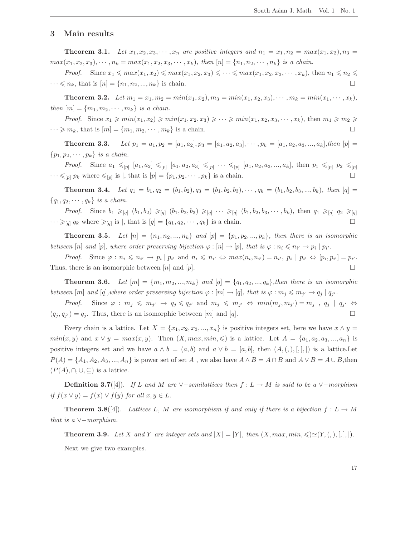#### 3 Main results

**Theorem 3.1.** Let  $x_1, x_2, x_3, \cdots, x_n$  are positive integers and  $n_1 = x_1, n_2 = max(x_1, x_2), n_3 =$  $max(x_1, x_2, x_3), \dots, n_k = max(x_1, x_2, x_3, \dots, x_k), \text{ then } [n] = \{n_1, n_2, \dots, n_k\} \text{ is a chain.}$ 

*Proof.* Since  $x_1 \leqslant max(x_1, x_2) \leqslant max(x_1, x_2, x_3) \leqslant \cdots \leqslant max(x_1, x_2, x_3, \cdots, x_k)$ , then  $n_1 \leqslant n_2 \leqslant$  $\cdots \leq n_k$ , that is  $[n] = \{n_1, n_2, ..., n_k\}$  is chain.

**Theorem 3.2.** Let  $m_1 = x_1, m_2 = min(x_1, x_2), m_3 = min(x_1, x_2, x_3), \cdots, m_k = min(x_1, \cdots, x_k),$ then  $[m] = \{m_1, m_2, \cdots, m_k\}$  is a chain.

*Proof.* Since  $x_1 \geqslant min(x_1, x_2) \geqslant min(x_1, x_2, x_3) \geqslant \cdots \geqslant min(x_1, x_2, x_3, \cdots, x_k)$ , then  $m_1 \geqslant m_2 \geqslant$  $\cdots \geqslant m_k$ , that is  $[m] = \{m_1, m_2, \cdots, m_k\}$  is a chain.

**Theorem 3.3.** Let  $p_1 = a_1, p_2 = [a_1, a_2], p_3 = [a_1, a_2, a_3], \cdots, p_k = [a_1, a_2, a_3, \ldots, a_k],$ then  $[p] =$  $\{p_1, p_2, \cdots, p_k\}$  is a chain.

*Proof.* Since  $a_1 \leq p$   $[a_1, a_2] \leq p$   $[a_1, a_2, a_3] \leq p$   $\cdots \leq p$   $[a_1, a_2, a_3, ..., a_k]$ , then  $p_1 \leq p$   $p_2 \leq p$  $\cdots \leq_{[p]} p_k$  where  $\leq_{[p]}$  is  $|$ , that is  $[p] = \{p_1, p_2, \cdots, p_k\}$  is a chain.

**Theorem 3.4.** Let  $q_1 = b_1, q_2 = (b_1, b_2), q_3 = (b_1, b_2, b_3), \cdots, q_k = (b_1, b_2, b_3, ..., b_k)$ , then  $[q]$  ${q_1, q_2, \cdots, q_k}$  is a chain.

*Proof.* Since  $b_1 \geq_{[q]} (b_1, b_2) \geq_{[q]} (b_1, b_2, b_3) \geq_{[q]} \cdots \geq_{[q]} (b_1, b_2, b_3, \cdots, b_k)$ , then  $q_1 \geq_{[q]} q_2 \geq_{[q]}$  $\cdots \geq_{[q]} q_k$  where  $\geq_{[q]}$  is |, that is  $[q] = \{q_1, q_2, \cdots, q_k\}$  is a chain.

**Theorem 3.5.** Let  $[n] = \{n_1, n_2, ..., n_k\}$  and  $[p] = \{p_1, p_2, ..., p_k\}$ , then there is an isomorphic between  $[n]$  and  $[p]$ , where order preserving bijection  $\varphi : [n] \to [p]$ , that is  $\varphi : n_i \leq n_{i'} \to p_i | p_{i'}$ .

Proof. Since  $\varphi: n_i \leq n_{i'} \to p_i | p_{i'} \text{ and } n_i \leq n_{i'} \Leftrightarrow \max(n_i, n_{i'}) = n_{i'}, p_i | p_{i'} \Leftrightarrow [p_i, p_{i'}] = p_{i'}$ . Thus, there is an isomorphic between  $[n]$  and  $[p]$ .

**Theorem 3.6.** Let  $[m] = \{m_1, m_2, ..., m_k\}$  and  $[q] = \{q_1, q_2, ..., q_k\}$ , then there is an isomorphic between  $[m]$  and  $[q]$ ,where order preserving bijection  $\varphi : [m] \to [q]$ , that is  $\varphi : m_j \leq m_{j'} \to q_j | q_{j'}$ .

Proof. Since  $\varphi : m_j \leq m_{j'} \to q_j \leq q_{j'}$  and  $m_j \leq m_{j'} \Leftrightarrow min(m_j, m_{j'}) = m_j$ ,  $q_j | q_{j'} \Leftrightarrow$  $(q_j, q_{j'}) = q_j$ . Thus, there is an isomorphic between [m] and [q].

Every chain is a lattice. Let  $X = \{x_1, x_2, x_3, ..., x_n\}$  is positive integers set, here we have  $x \wedge y =$  $min(x, y)$  and  $x \vee y = max(x, y)$ . Then  $(X, max, min, \leqslant)$  is a lattice. Let  $A = \{a_1, a_2, a_3, ..., a_n\}$  is positive integers set and we have  $a \wedge b = (a, b)$  and  $a \vee b = [a, b]$ , then  $(A, (), [,], |)$  is a lattice. Let  $P(A) = \{A_1, A_2, A_3, ..., A_n\}$  is power set of set A, we also have  $A \wedge B = A \cap B$  and  $A \vee B = A \cup B$ , then  $(P(A), \cap, \cup, \subseteq)$  is a lattice.

**Definition 3.7**([4]). If L and M are ∨-semilattices then  $f: L \to M$  is said to be a ∨-morphism if  $f(x \vee y) = f(x) \vee f(y)$  for all  $x, y \in L$ .

**Theorem 3.8**([4]). Lattices L, M are isomorphism if and only if there is a bijection  $f: L \to M$ that is a  $\vee$ -morphism.

**Theorem 3.9.** Let X and Y are integer sets and  $|X| = |Y|$ , then  $(X, max, min, \leq) \simeq (Y, (),),),).$ Next we give two examples.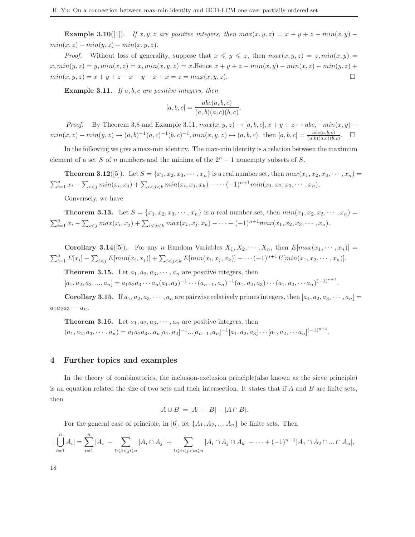Example 3.10([1]). If x, y, z are positive integers, then  $max(x, y, z) = x + y + z - min(x, y)$  $min(x, z) - min(y, z) + min(x, y, z).$ 

*Proof.* Without loss of generality, suppose that  $x \leq y \leq z$ , then  $max(x, y, z) = z$ ,  $min(x, y) = z$  $x, min(y, z) = y, min(x, z) = x, min(x, y, z) = x$ . Hence  $x + y + z - min(x, y) - min(x, z) - min(y, z) +$  $min(x, y, z) = x + y + z - x - y - x + x = z = max(x, y, z).$ 

**Example 3.11.** If a, b, c are positive integers, then

$$
[a, b, c] = \frac{abc(a, b, c)}{(a, b)(a, c)(b, c)}.
$$

*Proof.* By Theorem 3.8 and Example 3.11,  $max(x, y, z) \mapsto [a, b, c], x + y + z \mapsto abc, -min(x, y)$  $min(x, z) - min(y, z) \mapsto (a, b)^{-1}(a, c)^{-1}(b, c)^{-1}, min(x, y, z) \mapsto (a, b, c).$  then  $[a, b, c] = \frac{abc(a, b, c)}{(a, b)(a, c)(b, c)}$ .

In the following we give a max-min identity. The max-min identity is a relation between the maximum element of a set S of n numbers and the minima of the  $2<sup>n</sup> - 1$  nonempty subsets of S.

**Theorem 3.12**([5]). Let  $S = \{x_1, x_2, x_3, \dots, x_n\}$  is a real number set, then  $max(x_1, x_2, x_3, \dots, x_n)$  $\sum_{i=1}^n x_i - \sum_{i < j} \min(x_i, x_j) + \sum_{i < j < k} \min(x_i, x_j, x_k) - \cdots (-1)^{n+1} \min(x_1, x_2, x_3, \cdots, x_n).$ 

Conversely, we have

**Theorem 3.13.** Let  $S = \{x_1, x_2, x_3, \dots, x_n\}$  is a real number set, then  $min(x_1, x_2, x_3, \dots, x_n)$  $\sum_{i=1}^n x_i - \sum_{i < j} max(x_i, x_j) + \sum_{i < j < k} max(x_i, x_j, x_k) - \cdots + (-1)^{n+1} max(x_1, x_2, x_3, \cdots, x_n).$ 

**Corollary 3.14**([5]). For any n Random Variables  $X_1, X_2, \dots, X_n$ , then  $E[max(x_1, \dots, x_n)] =$  $\sum_{i=1}^{n} E[x_i] - \sum_{i < j} E[\min(x_i, x_j)] + \sum_{i < j < k} E[\min(x_i, x_j, x_k)] - \cdots (-1)^{n+1} E[\min(x_1, x_2, \cdots, x_n)].$ 

**Theorem 3.15.** Let  $a_1, a_2, a_3, \dots, a_n$  are positive integers, then

 $[a_1, a_2, a_3, ..., a_n] = a_1 a_2 a_3 \cdots a_n (a_1, a_2)^{-1} \cdots (a_{n-1}, a_n)^{-1} (a_1, a_2, a_3) \cdots (a_1, a_2, \cdots a_n)^{(-1)^{n+1}}.$ 

**Corollary 3.15.** If  $a_1, a_2, a_3, \dots, a_n$  are pairwise relatively primes integers, then  $[a_1, a_2, a_3, \dots, a_n]$  $a_1a_2a_3\cdots a_n.$ 

**Theorem 3.16.** Let  $a_1, a_2, a_3, \dots, a_n$  are positive integers, then

 $(a_1, a_2, a_3, \cdots, a_n) = a_1 a_2 a_3 ... a_n [a_1, a_2]^{-1} ... [a_{n-1}, a_n]^{-1} [a_1, a_2, a_3] \cdots [a_1, a_2, \cdots, a_n]^{(-1)^{n+1}}.$ 

#### 4 Further topics and examples

In the theory of combinatorics, the inclusion-exclusion principle(also known as the sieve principle) is an equation related the size of two sets and their intersection. It states that if  $A$  and  $B$  are finite sets, then

$$
|A \cup B| = |A| + |B| - |A \cap B|.
$$

For the general case of principle, in [6], let  $\{A_1, A_2, ..., A_n\}$  be finite sets. Then

$$
|\bigcup_{i=1}^{n} A_i| = \sum_{i=1}^{n} |A_i| - \sum_{1 \leq i < j \leq n} |A_i \cap A_j| + \sum_{1 \leq i < j < k \leq n} |A_i \cap A_j \cap A_k| - \dots + (-1)^{n-1} |A_1 \cap A_2 \cap \dots \cap A_n|,
$$

18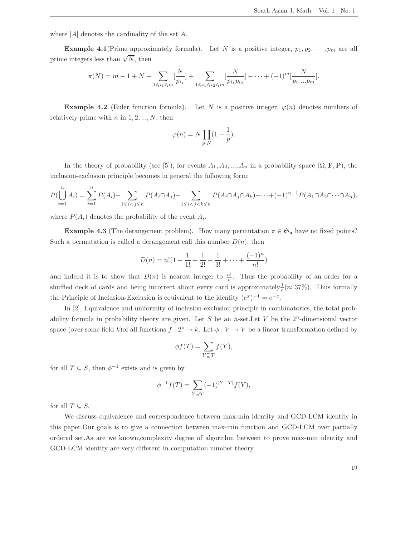where  $|A|$  denotes the cardinality of the set A.

**Example 4.1**(Prime approximately formula). Let N is a positive integer,  $p_1, p_2, \dots, p_m$  are all prime integers less than  $\sqrt{N}$ , then

$$
\pi(N) = m - 1 + N - \sum_{1 \leq i_1 \leq m} \left[ \frac{N}{p_{i_1}} \right] + \sum_{1 \leq i_1 \leq i_2 \leq m} \left[ \frac{N}{p_{i_1} p_{i_2}} \right] - \dots + (-1)^m \left[ \frac{N}{p_{i_1} \dots p_m} \right].
$$

**Example 4.2** (Euler function formula). Let N is a positive integer,  $\varphi(n)$  denotes numbers of relatively prime with  $n$  in  $1, 2, ..., N$ , then

$$
\varphi(n) = N \prod_{p|N} (1 - \frac{1}{p}).
$$

In the theory of probability (see [5]), for events  $A_1, A_2, ..., A_n$  in a probability space  $(\Omega, \mathbf{F}, \mathbf{P})$ , the inclusion-exclusion principle becomes in general the following form:

$$
P(\bigcup_{i=1}^{n} A_i) = \sum_{i=1}^{n} P(A_i) - \sum_{1 \leq i < j \leq n} P(A_i \cap A_j) + \sum_{1 \leq i < j < k \leq n} P(A_i \cap A_j \cap A_k) - \dots + (-1)^{n-1} P(A_1 \cap A_2 \cap \dots \cap A_n),
$$

where  $P(A_i)$  denotes the probability of the event  $A_i$ .

**Example 4.3** (The derangement problem). How many permutation  $\pi \in \mathfrak{S}_n$  have no fixed points? Such a permutation is called a derangement.call this number  $D(n)$ , then

$$
D(n) = n! \left(1 - \frac{1}{1!} + \frac{1}{2!} - \frac{1}{3!} + \dots + \frac{(-1)^n}{n!}\right)
$$

and indeed it is to show that  $D(n)$  is nearest integer to  $\frac{n!}{e}$ . Thus the probability of an order for a shuffled deck of cards and being incorrect about every card is approximately  $\frac{1}{e} (\approx 37\%)$ . Thus formally the Principle of Inclusion-Exclusion is equivalent to the identity  $(e^x)^{-1} = e^{-x}$ .

In [2], Equivalence and uniformity of inclusion-exclusion principle in combinatorics, the total probability formula in probability theory are given. Let S be an n-set. Let V be the  $2^n$ -dimensional vector space (over some field k)of all functions  $f: 2<sup>s</sup> \to k$ . Let  $\phi: V \to V$  be a linear transformation defined by

$$
\phi f(T) = \sum_{Y \supseteq T} f(Y),
$$

for all  $T \subseteq S$ , then  $\phi^{-1}$  exists and is given by

$$
\phi^{-1} f(T) = \sum_{Y \supseteq T} (-1)^{|Y - T|} f(Y),
$$

for all  $T \subseteq S$ .

We discuss equivalence and correspondence between max-min identity and GCD-LCM identity in this paper.Our goals is to give a connection between max-min function and GCD-LCM over partially ordered set.As are we known,complexity degree of algorithm between to prove max-min identity and GCD-LCM identity are very different in computation number theory.